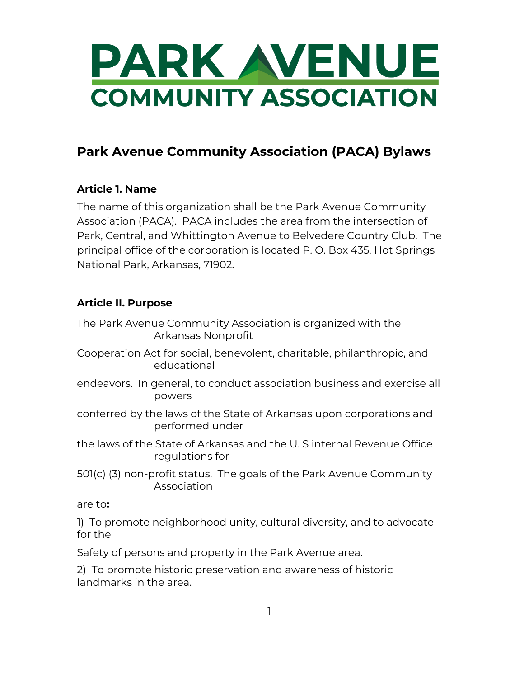

### **Park Avenue Community Association (PACA) Bylaws**

#### **Article 1. Name**

The name of this organization shall be the Park Avenue Community Association (PACA). PACA includes the area from the intersection of Park, Central, and Whittington Avenue to Belvedere Country Club. The principal office of the corporation is located P. O. Box 435, Hot Springs National Park, Arkansas, 71902.

#### **Article II. Purpose**

The Park Avenue Community Association is organized with the Arkansas Nonprofit

- Cooperation Act for social, benevolent, charitable, philanthropic, and educational
- endeavors. In general, to conduct association business and exercise all powers
- conferred by the laws of the State of Arkansas upon corporations and performed under
- the laws of the State of Arkansas and the U. S internal Revenue Office regulations for
- 501(c) (3) non-profit status. The goals of the Park Avenue Community Association

are to**:**

1) To promote neighborhood unity, cultural diversity, and to advocate for the

Safety of persons and property in the Park Avenue area.

2) To promote historic preservation and awareness of historic landmarks in the area.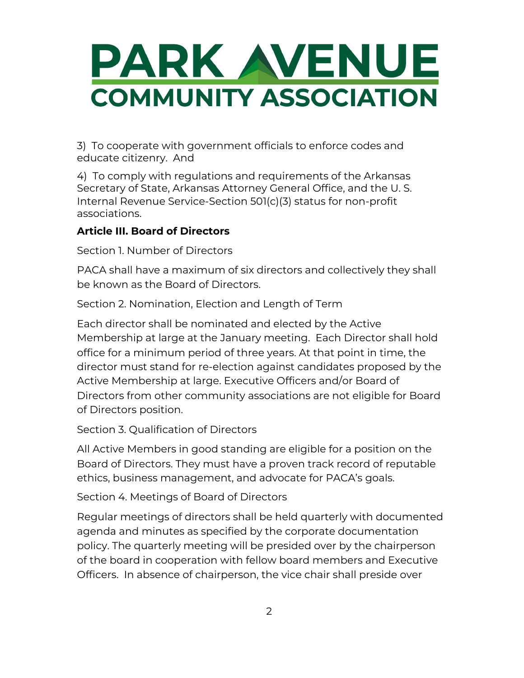

3) To cooperate with government officials to enforce codes and educate citizenry. And

4) To comply with regulations and requirements of the Arkansas Secretary of State, Arkansas Attorney General Office, and the U. S. Internal Revenue Service-Section 501(c)(3) status for non-profit associations.

#### **Article III. Board of Directors**

Section 1. Number of Directors

PACA shall have a maximum of six directors and collectively they shall be known as the Board of Directors.

Section 2. Nomination, Election and Length of Term

Each director shall be nominated and elected by the Active Membership at large at the January meeting. Each Director shall hold office for a minimum period of three years. At that point in time, the director must stand for re-election against candidates proposed by the Active Membership at large. Executive Officers and/or Board of Directors from other community associations are not eligible for Board of Directors position.

Section 3. Qualification of Directors

All Active Members in good standing are eligible for a position on the Board of Directors. They must have a proven track record of reputable ethics, business management, and advocate for PACA's goals.

Section 4. Meetings of Board of Directors

Regular meetings of directors shall be held quarterly with documented agenda and minutes as specified by the corporate documentation policy. The quarterly meeting will be presided over by the chairperson of the board in cooperation with fellow board members and Executive Officers. In absence of chairperson, the vice chair shall preside over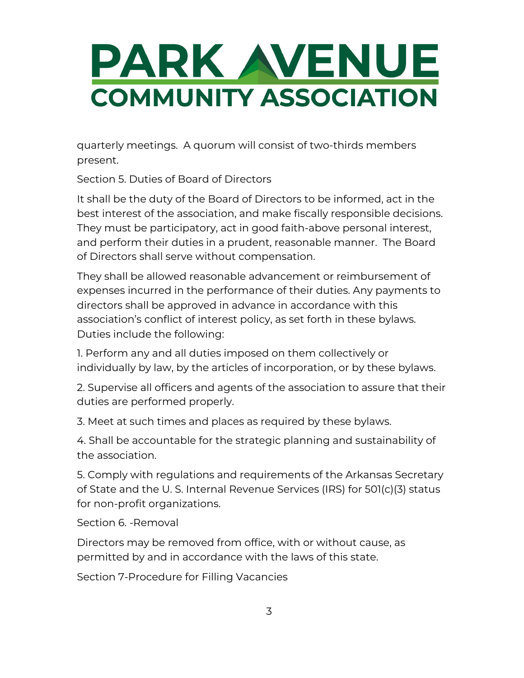quarterly meetings. A quorum will consist of two-thirds members present.

Section 5. Duties of Board of Directors

It shall be the duty of the Board of Directors to be informed, act in the best interest of the association, and make fiscally responsible decisions. They must be participatory, act in good faith-above personal interest, and perform their duties in a prudent, reasonable manner. The Board of Directors shall serve without compensation.

They shall be allowed reasonable advancement or reimbursement of expenses incurred in the performance of their duties. Any payments to directors shall be approved in advance in accordance with this association's conflict of interest policy, as set forth in these bylaws. Duties include the following:

1. Perform any and all duties imposed on them collectively or individually by law, by the articles of incorporation, or by these bylaws.

2. Supervise all officers and agents of the association to assure that their duties are performed properly.

3. Meet at such times and places as required by these bylaws.

4. Shall be accountable for the strategic planning and sustainability of the association.

5. Comply with regulations and requirements of the Arkansas Secretary of State and the U. S. Internal Revenue Services (IRS) for 501(c)(3) status for non-profit organizations.

Section 6. -Removal

Directors may be removed from office, with or without cause, as permitted by and in accordance with the laws of this state.

Section 7-Procedure for Filling Vacancies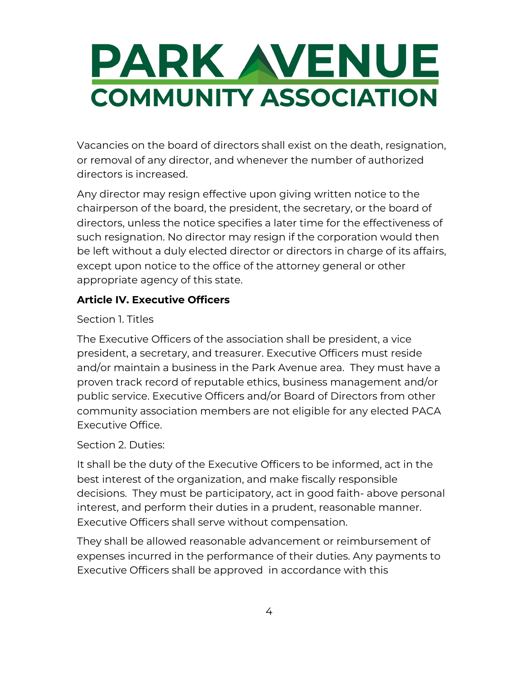Vacancies on the board of directors shall exist on the death, resignation, or removal of any director, and whenever the number of authorized directors is increased.

Any director may resign effective upon giving written notice to the chairperson of the board, the president, the secretary, or the board of directors, unless the notice specifies a later time for the effectiveness of such resignation. No director may resign if the corporation would then be left without a duly elected director or directors in charge of its affairs, except upon notice to the office of the attorney general or other appropriate agency of this state.

#### **Article IV. Executive Officers**

#### Section 1. Titles

The Executive Officers of the association shall be president, a vice president, a secretary, and treasurer. Executive Officers must reside and/or maintain a business in the Park Avenue area. They must have a proven track record of reputable ethics, business management and/or public service. Executive Officers and/or Board of Directors from other community association members are not eligible for any elected PACA Executive Office.

#### Section 2. Duties:

It shall be the duty of the Executive Officers to be informed, act in the best interest of the organization, and make fiscally responsible decisions. They must be participatory, act in good faith- above personal interest, and perform their duties in a prudent, reasonable manner. Executive Officers shall serve without compensation.

They shall be allowed reasonable advancement or reimbursement of expenses incurred in the performance of their duties. Any payments to Executive Officers shall be approved in accordance with this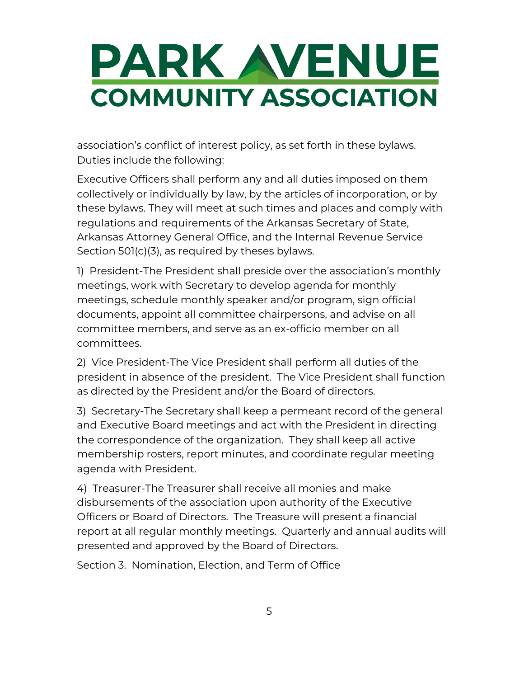association's conflict of interest policy, as set forth in these bylaws. Duties include the following:

Executive Officers shall perform any and all duties imposed on them collectively or individually by law, by the articles of incorporation, or by these bylaws. They will meet at such times and places and comply with regulations and requirements of the Arkansas Secretary of State, Arkansas Attorney General Office, and the Internal Revenue Service Section 501(c)(3), as required by theses bylaws.

1) President-The President shall preside over the association's monthly meetings, work with Secretary to develop agenda for monthly meetings, schedule monthly speaker and/or program, sign official documents, appoint all committee chairpersons, and advise on all committee members, and serve as an ex-officio member on all committees.

2) Vice President-The Vice President shall perform all duties of the president in absence of the president. The Vice President shall function as directed by the President and/or the Board of directors.

3) Secretary-The Secretary shall keep a permeant record of the general and Executive Board meetings and act with the President in directing the correspondence of the organization. They shall keep all active membership rosters, report minutes, and coordinate regular meeting agenda with President.

4) Treasurer-The Treasurer shall receive all monies and make disbursements of the association upon authority of the Executive Officers or Board of Directors. The Treasure will present a financial report at all regular monthly meetings. Quarterly and annual audits will presented and approved by the Board of Directors.

Section 3. Nomination, Election, and Term of Office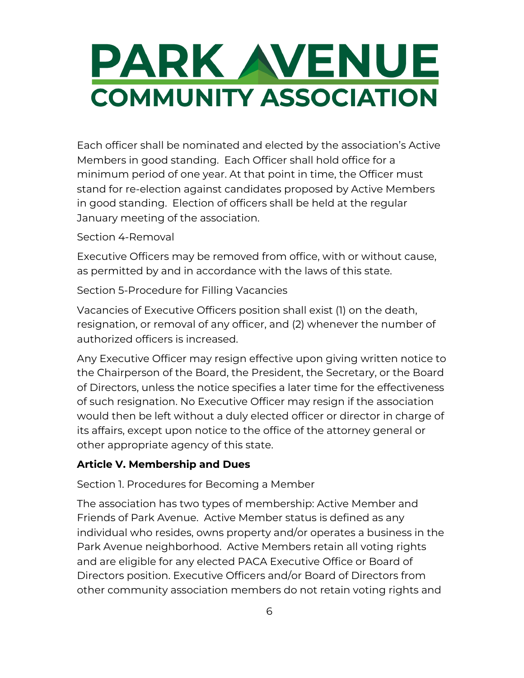Each officer shall be nominated and elected by the association's Active Members in good standing. Each Officer shall hold office for a minimum period of one year. At that point in time, the Officer must stand for re-election against candidates proposed by Active Members in good standing. Election of officers shall be held at the regular January meeting of the association.

#### Section 4-Removal

Executive Officers may be removed from office, with or without cause, as permitted by and in accordance with the laws of this state.

Section 5-Procedure for Filling Vacancies

Vacancies of Executive Officers position shall exist (1) on the death, resignation, or removal of any officer, and (2) whenever the number of authorized officers is increased.

Any Executive Officer may resign effective upon giving written notice to the Chairperson of the Board, the President, the Secretary, or the Board of Directors, unless the notice specifies a later time for the effectiveness of such resignation. No Executive Officer may resign if the association would then be left without a duly elected officer or director in charge of its affairs, except upon notice to the office of the attorney general or other appropriate agency of this state.

#### **Article V. Membership and Dues**

Section 1. Procedures for Becoming a Member

The association has two types of membership: Active Member and Friends of Park Avenue. Active Member status is defined as any individual who resides, owns property and/or operates a business in the Park Avenue neighborhood. Active Members retain all voting rights and are eligible for any elected PACA Executive Office or Board of Directors position. Executive Officers and/or Board of Directors from other community association members do not retain voting rights and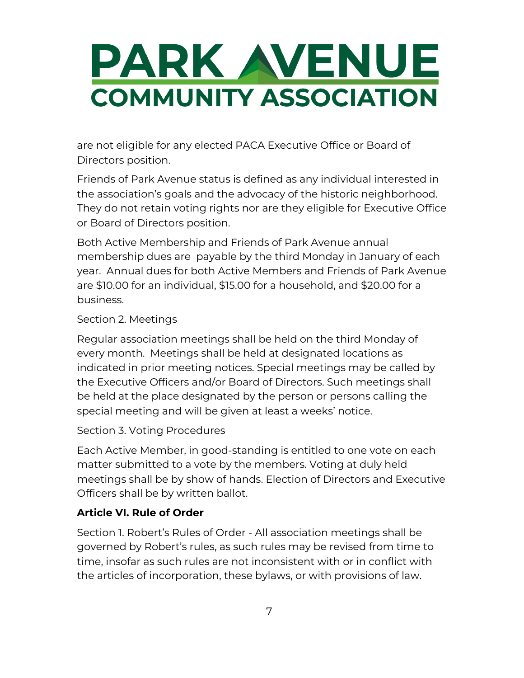are not eligible for any elected PACA Executive Office or Board of Directors position.

Friends of Park Avenue status is defined as any individual interested in the association's goals and the advocacy of the historic neighborhood. They do not retain voting rights nor are they eligible for Executive Office or Board of Directors position.

Both Active Membership and Friends of Park Avenue annual membership dues are payable by the third Monday in January of each year. Annual dues for both Active Members and Friends of Park Avenue are \$10.00 for an individual, \$15.00 for a household, and \$20.00 for a business.

#### Section 2. Meetings

Regular association meetings shall be held on the third Monday of every month. Meetings shall be held at designated locations as indicated in prior meeting notices. Special meetings may be called by the Executive Officers and/or Board of Directors. Such meetings shall be held at the place designated by the person or persons calling the special meeting and will be given at least a weeks' notice.

#### Section 3. Voting Procedures

Each Active Member, in good-standing is entitled to one vote on each matter submitted to a vote by the members. Voting at duly held meetings shall be by show of hands. Election of Directors and Executive Officers shall be by written ballot.

#### **Article VI. Rule of Order**

Section 1. Robert's Rules of Order - All association meetings shall be governed by Robert's rules, as such rules may be revised from time to time, insofar as such rules are not inconsistent with or in conflict with the articles of incorporation, these bylaws, or with provisions of law.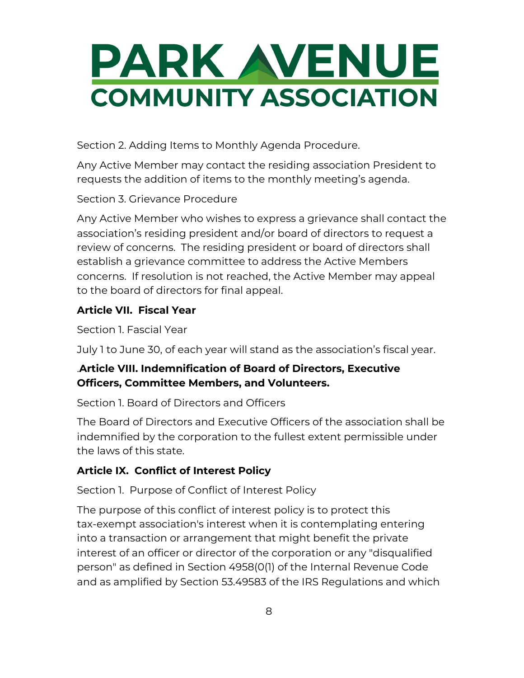Section 2. Adding Items to Monthly Agenda Procedure.

Any Active Member may contact the residing association President to requests the addition of items to the monthly meeting's agenda.

Section 3. Grievance Procedure

Any Active Member who wishes to express a grievance shall contact the association's residing president and/or board of directors to request a review of concerns. The residing president or board of directors shall establish a grievance committee to address the Active Members concerns. If resolution is not reached, the Active Member may appeal to the board of directors for final appeal.

### **Article VII. Fiscal Year**

Section 1. Fascial Year

July 1 to June 30, of each year will stand as the association's fiscal year.

### .**Article VIII. Indemnification of Board of Directors, Executive Officers, Committee Members, and Volunteers.**

Section 1. Board of Directors and Officers

The Board of Directors and Executive Officers of the association shall be indemnified by the corporation to the fullest extent permissible under the laws of this state.

### **Article IX. Conflict of Interest Policy**

Section 1. Purpose of Conflict of Interest Policy

The purpose of this conflict of interest policy is to protect this tax-exempt association's interest when it is contemplating entering into a transaction or arrangement that might benefit the private interest of an officer or director of the corporation or any "disqualified person" as defined in Section 4958(0(1) of the Internal Revenue Code and as amplified by Section 53.49583 of the IRS Regulations and which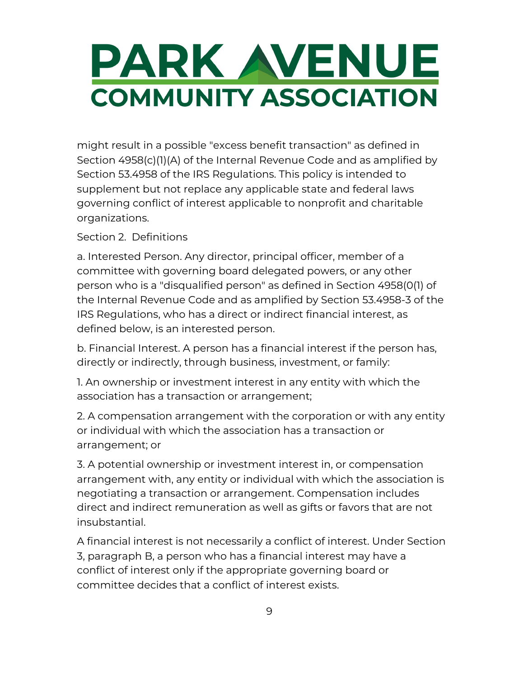might result in a possible "excess benefit transaction" as defined in Section 4958(c)(1)(A) of the Internal Revenue Code and as amplified by Section 53.4958 of the IRS Regulations. This policy is intended to supplement but not replace any applicable state and federal laws governing conflict of interest applicable to nonprofit and charitable organizations.

#### Section 2. Definitions

a. Interested Person. Any director, principal officer, member of a committee with governing board delegated powers, or any other person who is a "disqualified person" as defined in Section 4958(0(1) of the Internal Revenue Code and as amplified by Section 53.4958-3 of the IRS Regulations, who has a direct or indirect financial interest, as defined below, is an interested person.

b. Financial Interest. A person has a financial interest if the person has, directly or indirectly, through business, investment, or family:

1. An ownership or investment interest in any entity with which the association has a transaction or arrangement;

2. A compensation arrangement with the corporation or with any entity or individual with which the association has a transaction or arrangement; or

3. A potential ownership or investment interest in, or compensation arrangement with, any entity or individual with which the association is negotiating a transaction or arrangement. Compensation includes direct and indirect remuneration as well as gifts or favors that are not insubstantial.

A financial interest is not necessarily a conflict of interest. Under Section 3, paragraph B, a person who has a financial interest may have a conflict of interest only if the appropriate governing board or committee decides that a conflict of interest exists.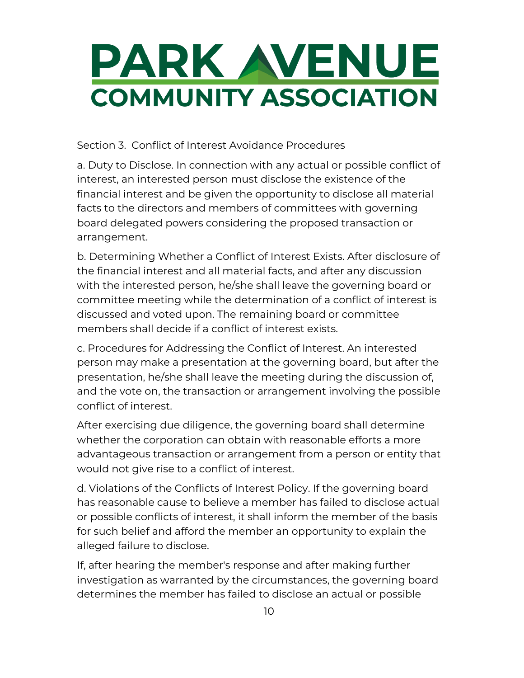Section 3. Conflict of Interest Avoidance Procedures

a. Duty to Disclose. In connection with any actual or possible conflict of interest, an interested person must disclose the existence of the financial interest and be given the opportunity to disclose all material facts to the directors and members of committees with governing board delegated powers considering the proposed transaction or arrangement.

b. Determining Whether a Conflict of Interest Exists. After disclosure of the financial interest and all material facts, and after any discussion with the interested person, he/she shall leave the governing board or committee meeting while the determination of a conflict of interest is discussed and voted upon. The remaining board or committee members shall decide if a conflict of interest exists.

c. Procedures for Addressing the Conflict of Interest. An interested person may make a presentation at the governing board, but after the presentation, he/she shall leave the meeting during the discussion of, and the vote on, the transaction or arrangement involving the possible conflict of interest.

After exercising due diligence, the governing board shall determine whether the corporation can obtain with reasonable efforts a more advantageous transaction or arrangement from a person or entity that would not give rise to a conflict of interest.

d. Violations of the Conflicts of Interest Policy. If the governing board has reasonable cause to believe a member has failed to disclose actual or possible conflicts of interest, it shall inform the member of the basis for such belief and afford the member an opportunity to explain the alleged failure to disclose.

If, after hearing the member's response and after making further investigation as warranted by the circumstances, the governing board determines the member has failed to disclose an actual or possible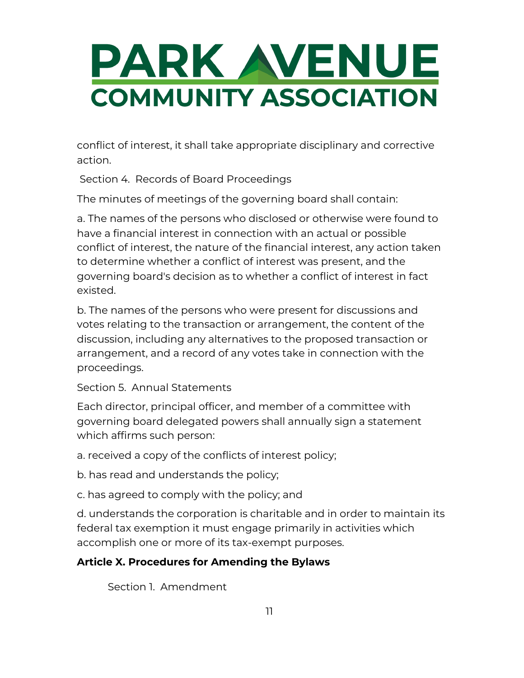conflict of interest, it shall take appropriate disciplinary and corrective action.

Section 4. Records of Board Proceedings

The minutes of meetings of the governing board shall contain:

a. The names of the persons who disclosed or otherwise were found to have a financial interest in connection with an actual or possible conflict of interest, the nature of the financial interest, any action taken to determine whether a conflict of interest was present, and the governing board's decision as to whether a conflict of interest in fact existed.

b. The names of the persons who were present for discussions and votes relating to the transaction or arrangement, the content of the discussion, including any alternatives to the proposed transaction or arrangement, and a record of any votes take in connection with the proceedings.

#### Section 5. Annual Statements

Each director, principal officer, and member of a committee with governing board delegated powers shall annually sign a statement which affirms such person:

a. received a copy of the conflicts of interest policy;

b. has read and understands the policy;

c. has agreed to comply with the policy; and

d. understands the corporation is charitable and in order to maintain its federal tax exemption it must engage primarily in activities which accomplish one or more of its tax-exempt purposes.

### **Article X. Procedures for Amending the Bylaws**

Section 1. Amendment